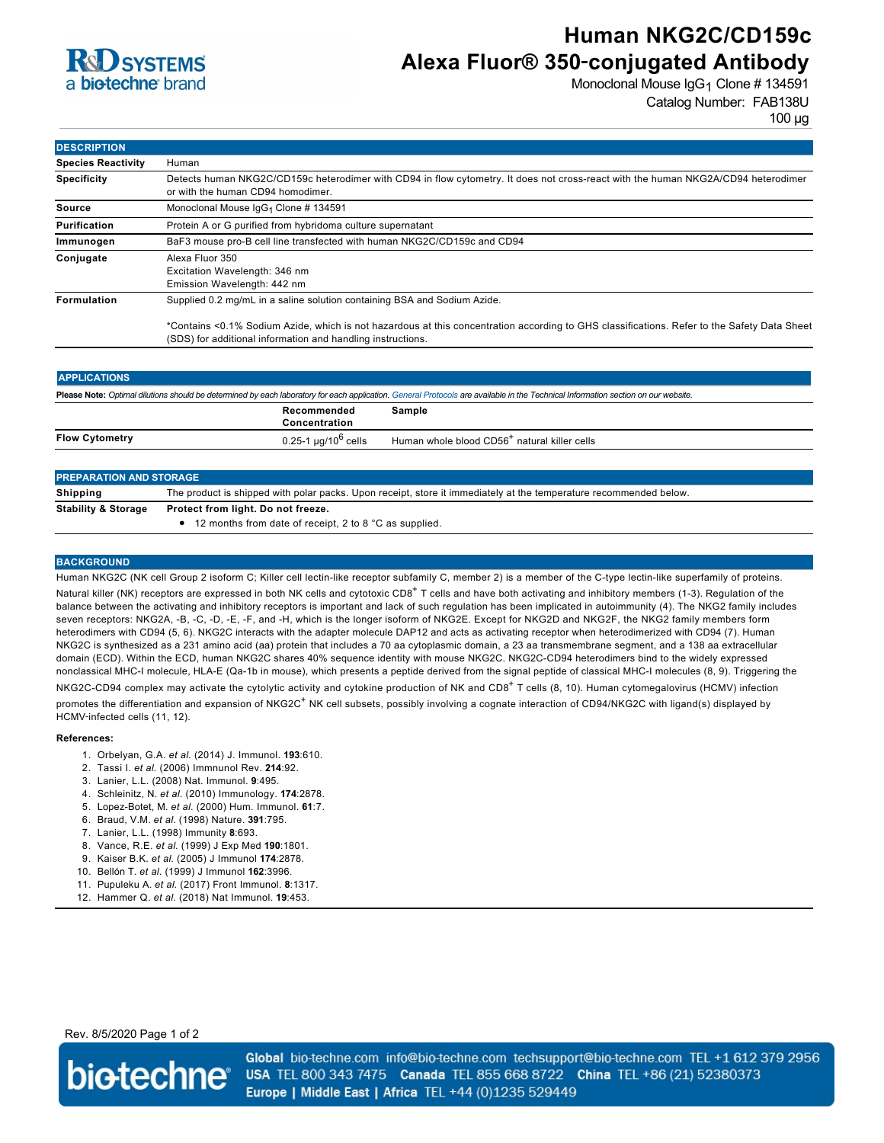

# **Human NKG2C/CD159c Alexa Fluor® 350**‑**conjugated Antibody**

Monoclonal Mouse IgG<sub>1</sub> Clone # 134591 Catalog Number: FAB138U

100 µg

| <b>DESCRIPTION</b>        |                                                                                                                                                                                                            |
|---------------------------|------------------------------------------------------------------------------------------------------------------------------------------------------------------------------------------------------------|
| <b>Species Reactivity</b> | Human                                                                                                                                                                                                      |
| <b>Specificity</b>        | Detects human NKG2C/CD159c heterodimer with CD94 in flow cytometry. It does not cross-react with the human NKG2A/CD94 heterodimer<br>or with the human CD94 homodimer.                                     |
| Source                    | Monoclonal Mouse $\lg G_1$ Clone # 134591                                                                                                                                                                  |
| Purification              | Protein A or G purified from hybridoma culture supernatant                                                                                                                                                 |
| Immunogen                 | BaF3 mouse pro-B cell line transfected with human NKG2C/CD159c and CD94                                                                                                                                    |
| Conjugate                 | Alexa Fluor 350<br>Excitation Wavelength: 346 nm<br>Emission Wavelength: 442 nm                                                                                                                            |
| Formulation               | Supplied 0.2 mg/mL in a saline solution containing BSA and Sodium Azide.                                                                                                                                   |
|                           | *Contains <0.1% Sodium Azide, which is not hazardous at this concentration according to GHS classifications. Refer to the Safety Data Sheet<br>(SDS) for additional information and handling instructions. |

| <b>APPLICATIONS</b>                                                                                                                                                               |                                      |                                                          |  |  |
|-----------------------------------------------------------------------------------------------------------------------------------------------------------------------------------|--------------------------------------|----------------------------------------------------------|--|--|
| Please Note: Optimal dilutions should be determined by each laboratory for each application. General Protocols are available in the Technical Information section on our website. |                                      |                                                          |  |  |
|                                                                                                                                                                                   | Recommended<br>Concentration         | Sample                                                   |  |  |
| <b>Flow Cytometry</b>                                                                                                                                                             | 0.25-1 $\mu$ g/10 <sup>6</sup> cells | Human whole blood CD56 <sup>+</sup> natural killer cells |  |  |
|                                                                                                                                                                                   |                                      |                                                          |  |  |

| <b>PREPARATION AND STORAGE</b> |                                                                                                                   |  |
|--------------------------------|-------------------------------------------------------------------------------------------------------------------|--|
| Shipping                       | The product is shipped with polar packs. Upon receipt, store it immediately at the temperature recommended below. |  |
| <b>Stability &amp; Storage</b> | Protect from light. Do not freeze.<br>$\bullet$ 12 months from date of receipt, 2 to 8 °C as supplied.            |  |

### **BACKGROUND**

Human NKG2C (NK cell Group 2 isoform C; Killer cell lectin-like receptor subfamily C, member 2) is a member of the C-type lectin-like superfamily of proteins. Natural killer (NK) receptors are expressed in both NK cells and cytotoxic CD8<sup>+</sup> T cells and have both activating and inhibitory members (1-3). Regulation of the balance between the activating and inhibitory receptors is important and lack of such regulation has been implicated in autoimmunity (4). The NKG2 family includes seven receptors: NKG2A, -B, -C, -D, -E, -F, and -H, which is the longer isoform of NKG2E. Except for NKG2D and NKG2F, the NKG2 family members form heterodimers with CD94 (5, 6). NKG2C interacts with the adapter molecule DAP12 and acts as activating receptor when heterodimerized with CD94 (7). Human NKG2C is synthesized as a 231 amino acid (aa) protein that includes a 70 aa cytoplasmic domain, a 23 aa transmembrane segment, and a 138 aa extracellular domain (ECD). Within the ECD, human NKG2C shares 40% sequence identity with mouse NKG2C. NKG2C-CD94 heterodimers bind to the widely expressed nonclassical MHC-I molecule, HLA-E (Qa-1b in mouse), which presents a peptide derived from the signal peptide of classical MHC-I molecules (8, 9). Triggering the NKG2C-CD94 complex may activate the cytolytic activity and cytokine production of NK and CD8<sup>+</sup> T cells (8, 10). Human cytomegalovirus (HCMV) infection promotes the differentiation and expansion of NKG2C<sup>+</sup> NK cell subsets, possibly involving a cognate interaction of CD94/NKG2C with ligand(s) displayed by HCMV‑infected cells (11, 12).

#### **References:**

- 1. Orbelyan, G.A. *et al*. (2014) J. Immunol. **193**:610.
- 2. Tassi I. *et al*. (2006) Immnunol Rev. **214**:92.
- 3. Lanier, L.L. (2008) Nat. Immunol. **9**:495.
- 4. Schleinitz, N. *et al*. (2010) Immunology. **174**:2878.
- 5. Lopez-Botet, M. *et al*. (2000) Hum. Immunol. **61**:7.
- 6. Braud, V.M. *et al*. (1998) Nature. **391**:795.
- 7. Lanier, L.L. (1998) Immunity **8**:693.
- 8. Vance, R.E. *et al*. (1999) J Exp Med **190**:1801.
- 9. Kaiser B.K. *et al*. (2005) J Immunol **174**:2878.
- 10. Bellón T. *et al*. (1999) J Immunol **162**:3996.
- 11. Pupuleku A. *et al*. (2017) Front Immunol. **8**:1317.
- 12. Hammer Q. *et al*. (2018) Nat Immunol. **19**:453.

Rev. 8/5/2020 Page 1 of 2



Global bio-techne.com info@bio-techne.com techsupport@bio-techne.com TEL +1 612 379 2956 USA TEL 800 343 7475 Canada TEL 855 668 8722 China TEL +86 (21) 52380373 Europe | Middle East | Africa TEL +44 (0)1235 529449